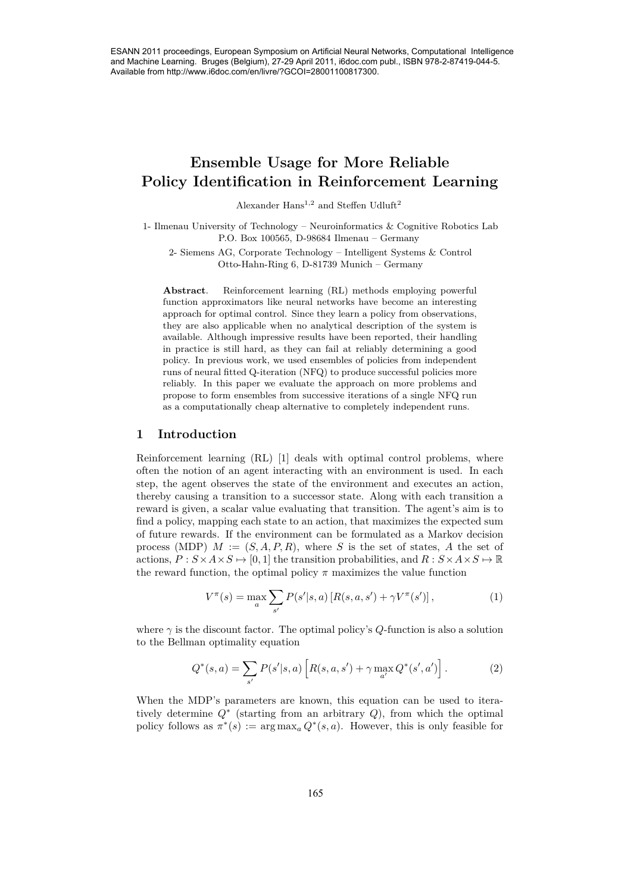# **Ensemble Usage for More Reliable Policy Identification in Reinforcement Learning**

Alexander  ${\rm Hans}^{1,2}$  and Steffen Udluft<sup>2</sup>

1- Ilmenau University of Technology – Neuroinformatics & Cognitive Robotics Lab P.O. Box 100565, D-98684 Ilmenau – Germany

2- Siemens AG, Corporate Technology – Intelligent Systems & Control Otto-Hahn-Ring 6, D-81739 Munich – Germany

**Abstract**. Reinforcement learning (RL) methods employing powerful function approximators like neural networks have become an interesting approach for optimal control. Since they learn a policy from observations, they are also applicable when no analytical description of the system is available. Although impressive results have been reported, their handling in practice is still hard, as they can fail at reliably determining a good policy. In previous work, we used ensembles of policies from independent runs of neural fitted Q-iteration (NFQ) to produce successful policies more reliably. In this paper we evaluate the approach on more problems and propose to form ensembles from successive iterations of a single NFQ run as a computationally cheap alternative to completely independent runs.

## **1 Introduction**

Reinforcement learning (RL) [1] deals with optimal control problems, where often the notion of an agent interacting with an environment is used. In each step, the agent observes the state of the environment and executes an action, thereby causing a transition to a successor state. Along with each transition a reward is given, a scalar value evaluating that transition. The agent's aim is to find a policy, mapping each state to an action, that maximizes the expected sum of future rewards. If the environment can be formulated as a Markov decision process (MDP)  $M := (S, A, P, R)$ , where *S* is the set of states, *A* the set of actions,  $P: S \times A \times S \mapsto [0, 1]$  the transition probabilities, and  $R: S \times A \times S \mapsto \mathbb{R}$ the reward function, the optimal policy  $\pi$  maximizes the value function 2658 ESP (265 ESP (265 ESP) (265 ESP) (265 ESP) (265 ESP) (265 ESP) (265 ESP) (265 ESP) (265 ESP) (265 ESP) (265 ESP) (265 ESP) (265 ESP) (265 ESP) (265 ESP) (265 ESP) (265 ESP) (265 ESP) (265 ESP) (265 ESP) (265 ESP) (26

$$
V^{\pi}(s) = \max_{a} \sum_{s'} P(s'|s, a) [R(s, a, s') + \gamma V^{\pi}(s')], \qquad (1)
$$

where  $\gamma$  is the discount factor. The optimal policy's  $Q$ -function is also a solution to the Bellman optimality equation

$$
Q^*(s, a) = \sum_{s'} P(s'|s, a) \left[ R(s, a, s') + \gamma \max_{a'} Q^*(s', a') \right].
$$
 (2)

When the MDP's parameters are known, this equation can be used to iteratively determine *Q*<sup>∗</sup> (starting from an arbitrary *Q*), from which the optimal policy follows as  $\pi^*(s) := \arg \max_a Q^*(s, a)$ . However, this is only feasible for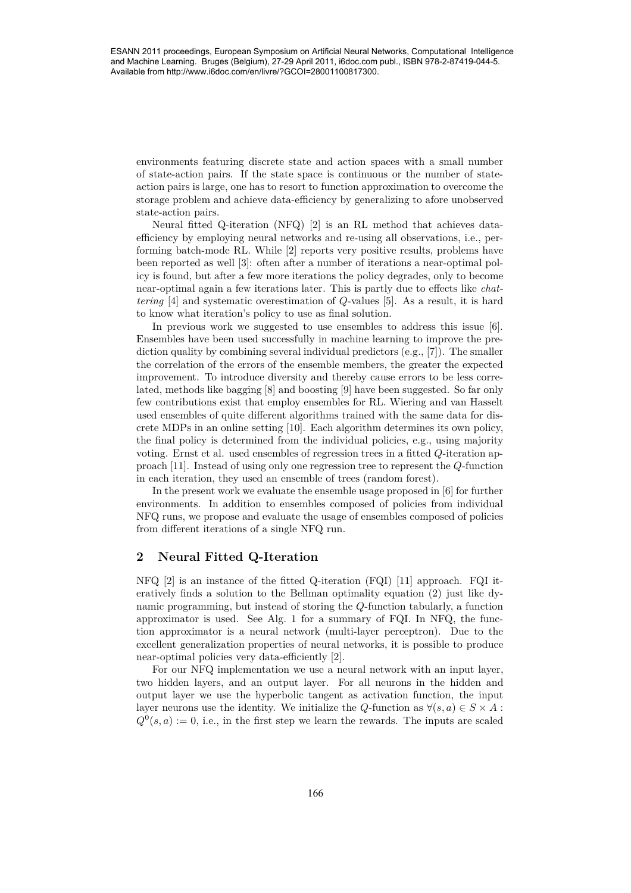environments featuring discrete state and action spaces with a small number of state-action pairs. If the state space is continuous or the number of stateaction pairs is large, one has to resort to function approximation to overcome the storage problem and achieve data-efficiency by generalizing to afore unobserved state-action pairs.

Neural fitted Q-iteration (NFQ) [2] is an RL method that achieves dataefficiency by employing neural networks and re-using all observations, i.e., performing batch-mode RL. While [2] reports very positive results, problems have been reported as well [3]: often after a number of iterations a near-optimal policy is found, but after a few more iterations the policy degrades, only to become near-optimal again a few iterations later. This is partly due to effects like *chattering* [4] and systematic overestimation of *Q*-values [5]. As a result, it is hard to know what iteration's policy to use as final solution.

In previous work we suggested to use ensembles to address this issue [6]. Ensembles have been used successfully in machine learning to improve the prediction quality by combining several individual predictors (e.g., [7]). The smaller the correlation of the errors of the ensemble members, the greater the expected improvement. To introduce diversity and thereby cause errors to be less correlated, methods like bagging [8] and boosting [9] have been suggested. So far only few contributions exist that employ ensembles for RL. Wiering and van Hasselt used ensembles of quite different algorithms trained with the same data for discrete MDPs in an online setting [10]. Each algorithm determines its own policy, the final policy is determined from the individual policies, e.g., using majority voting. Ernst et al. used ensembles of regression trees in a fitted *Q*-iteration approach [11]. Instead of using only one regression tree to represent the *Q*-function in each iteration, they used an ensemble of trees (random forest). 2600000011 European Symposium on Artificial Neural Networks, Computers and the computer of states and the computational Intelligence of the computational Networks (Computational Networks) and the computational Intelligenc

In the present work we evaluate the ensemble usage proposed in [6] for further environments. In addition to ensembles composed of policies from individual NFQ runs, we propose and evaluate the usage of ensembles composed of policies from different iterations of a single NFQ run.

# **2 Neural Fitted Q-Iteration**

NFQ [2] is an instance of the fitted Q-iteration (FQI) [11] approach. FQI iteratively finds a solution to the Bellman optimality equation (2) just like dynamic programming, but instead of storing the *Q*-function tabularly, a function approximator is used. See Alg. 1 for a summary of FQI. In NFQ, the function approximator is a neural network (multi-layer perceptron). Due to the excellent generalization properties of neural networks, it is possible to produce near-optimal policies very data-efficiently [2].

For our NFQ implementation we use a neural network with an input layer, two hidden layers, and an output layer. For all neurons in the hidden and output layer we use the hyperbolic tangent as activation function, the input layer neurons use the identity. We initialize the *Q*-function as  $\forall (s, a) \in S \times A$ :  $Q^{0}(s, a) := 0$ , i.e., in the first step we learn the rewards. The inputs are scaled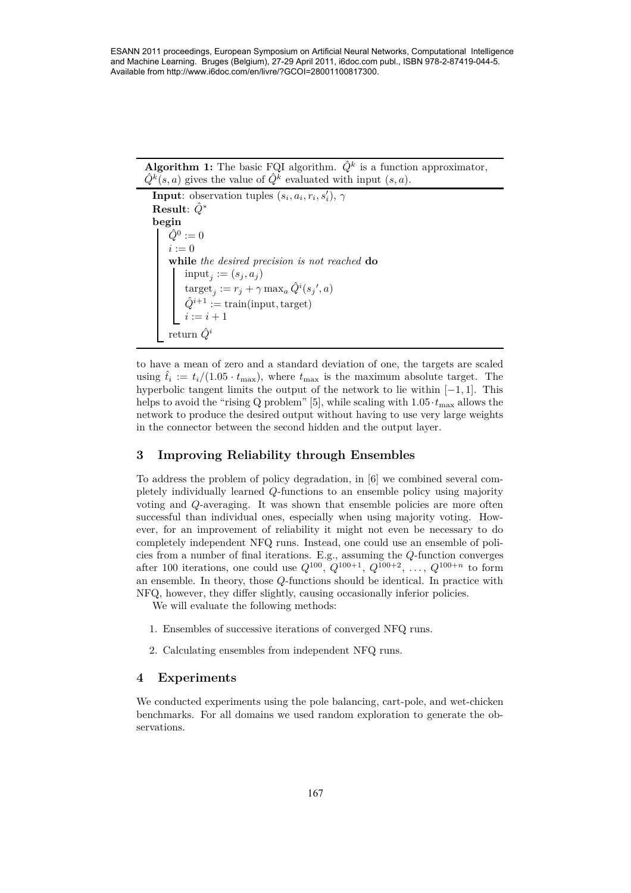**Algorithm 1:** The basic FQI algorithm.  $\hat{Q}^k$  is a function approximator,  $\hat{Q}^k(s, a)$  gives the value of  $\hat{Q}^k$  evaluated with input  $(s, a)$ .

**Input**: observation tuples  $(s_i, a_i, r_i, s'_i)$ ,  $\gamma$ **Result**: *Q*ˆ<sup>∗</sup> **begin**  $\hat{Q}^0 := 0$  $i := 0$ **while** *the desired precision is not reached* **do**  $\text{input}_j := (s_j, a_j)$  $\text{target}_j := r_j + \gamma \max_a \hat{Q}^i(s_j', a)$  $\hat{Q}^{i+1}$  := train(input, target)  $i := i + 1$ return  $\hat{Q}^i$ 

to have a mean of zero and a standard deviation of one, the targets are scaled using  $\hat{t}_i := t_i/(1.05 \cdot t_{\text{max}})$ , where  $t_{\text{max}}$  is the maximum absolute target. The hyperbolic tangent limits the output of the network to lie within [−1*,* 1]. This helps to avoid the "rising Q problem" [5], while scaling with  $1.05 \cdot t_{\text{max}}$  allows the network to produce the desired output without having to use very large weights in the connector between the second hidden and the output layer.

# **3 Improving Reliability through Ensembles**

To address the problem of policy degradation, in [6] we combined several completely individually learned *Q*-functions to an ensemble policy using majority voting and *Q*-averaging. It was shown that ensemble policies are more often successful than individual ones, especially when using majority voting. However, for an improvement of reliability it might not even be necessary to do completely independent NFQ runs. Instead, one could use an ensemble of policies from a number of final iterations. E.g., assuming the *Q*-function converges after 100 iterations, one could use  $Q^{100}$ ,  $Q^{100+1}$ ,  $Q^{100+2}$ , ...,  $Q^{100+n}$  to form an ensemble. In theory, those *Q*-functions should be identical. In practice with NFQ, however, they differ slightly, causing occasionally inferior policies. 2678 ESAN 2011 proceedings, European Symposium on Artificial Neural Neural Networks, Computers, Computers, Computational Intelligence (Neural Neural Networks)<br>  $\frac{Q^2(x, \alpha)}{2}$  and  $\alpha$  the state of  $Q^2$  evaluated with i

We will evaluate the following methods:

- 1. Ensembles of successive iterations of converged NFQ runs.
- 2. Calculating ensembles from independent NFQ runs.

## **4 Experiments**

We conducted experiments using the pole balancing, cart-pole, and wet-chicken benchmarks. For all domains we used random exploration to generate the observations.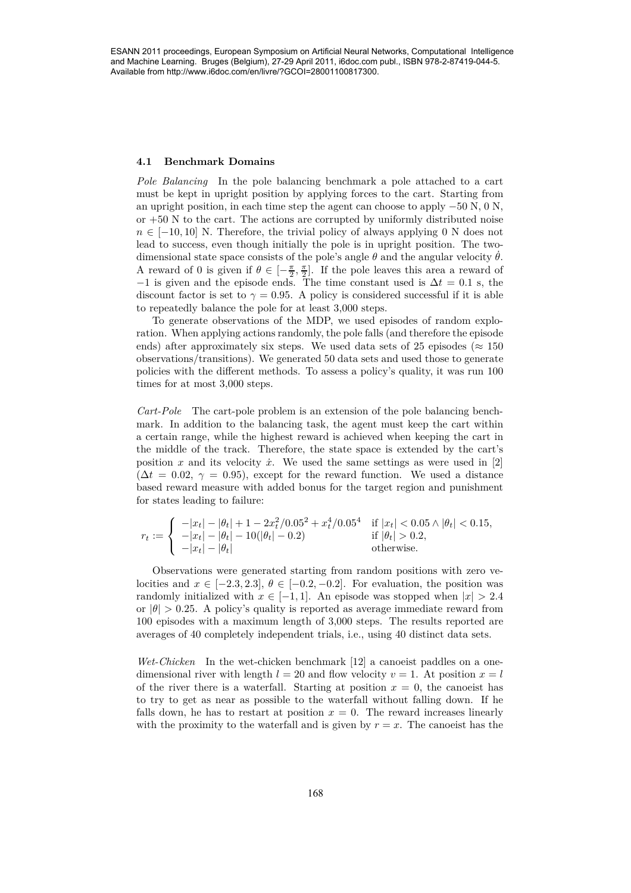#### **4.1 Benchmark Domains**

*Pole Balancing* In the pole balancing benchmark a pole attached to a cart must be kept in upright position by applying forces to the cart. Starting from an upright position, in each time step the agent can choose to apply −50 N, 0 N, or +50 N to the cart. The actions are corrupted by uniformly distributed noise  $n \in [-10, 10]$  N. Therefore, the trivial policy of always applying 0 N does not lead to success, even though initially the pole is in upright position. The twodimensional state space consists of the pole's angle  $\theta$  and the angular velocity  $\dot{\theta}$ . A reward of 0 is given if  $\theta \in [-\frac{\pi}{2}, \frac{\pi}{2}]$ . If the pole leaves this area a reward of  $-1$  is given and the episode ends. The time constant used is  $\Delta t = 0.1$  s, the discount factor is set to  $\gamma = 0.95$ . A policy is considered successful if it is able to repeatedly balance the pole for at least 3*,*000 steps. 2688 Estimation (a more in the spin of the spin of the spin of the spin of the spin of the spin of the spin of the spin of the spin of the spin of the spin of the spin of the spin of the spin of the spin of the spin of th

To generate observations of the MDP, we used episodes of random exploration. When applying actions randomly, the pole falls (and therefore the episode ends) after approximately six steps. We used data sets of 25 episodes ( $\approx 150$ observations/transitions). We generated 50 data sets and used those to generate policies with the different methods. To assess a policy's quality, it was run 100 times for at most 3*,*000 steps.

*Cart-Pole* The cart-pole problem is an extension of the pole balancing benchmark. In addition to the balancing task, the agent must keep the cart within a certain range, while the highest reward is achieved when keeping the cart in the middle of the track. Therefore, the state space is extended by the cart's position  $x$  and its velocity  $\dot{x}$ . We used the same settings as were used in [2]  $(\Delta t = 0.02, \gamma = 0.95)$ , except for the reward function. We used a distance based reward measure with added bonus for the target region and punishment for states leading to failure:

$$
r_t := \begin{cases} -|x_t| - |\theta_t| + 1 - 2x_t^2/0.05^2 + x_t^4/0.05^4 & \text{if } |x_t| < 0.05 \land |\theta_t| < 0.15, \\ -|x_t| - |\theta_t| - 10(|\theta_t| - 0.2) & \text{if } |\theta_t| > 0.2, \\ -|x_t| - |\theta_t| & \text{otherwise.} \end{cases}
$$

Observations were generated starting from random positions with zero velocities and  $x \in [-2.3, 2.3], \theta \in [-0.2, -0.2]$ . For evaluation, the position was randomly initialized with  $x \in [-1, 1]$ . An episode was stopped when  $|x| > 2.4$ or  $|\theta| > 0.25$ . A policy's quality is reported as average immediate reward from 100 episodes with a maximum length of 3*,*000 steps. The results reported are averages of 40 completely independent trials, i.e., using 40 distinct data sets.

*Wet-Chicken* In the wet-chicken benchmark [12] a canoeist paddles on a onedimensional river with length  $l = 20$  and flow velocity  $v = 1$ . At position  $x = l$ of the river there is a waterfall. Starting at position  $x = 0$ , the canoeist has to try to get as near as possible to the waterfall without falling down. If he falls down, he has to restart at position  $x = 0$ . The reward increases linearly with the proximity to the waterfall and is given by  $r = x$ . The canoeist has the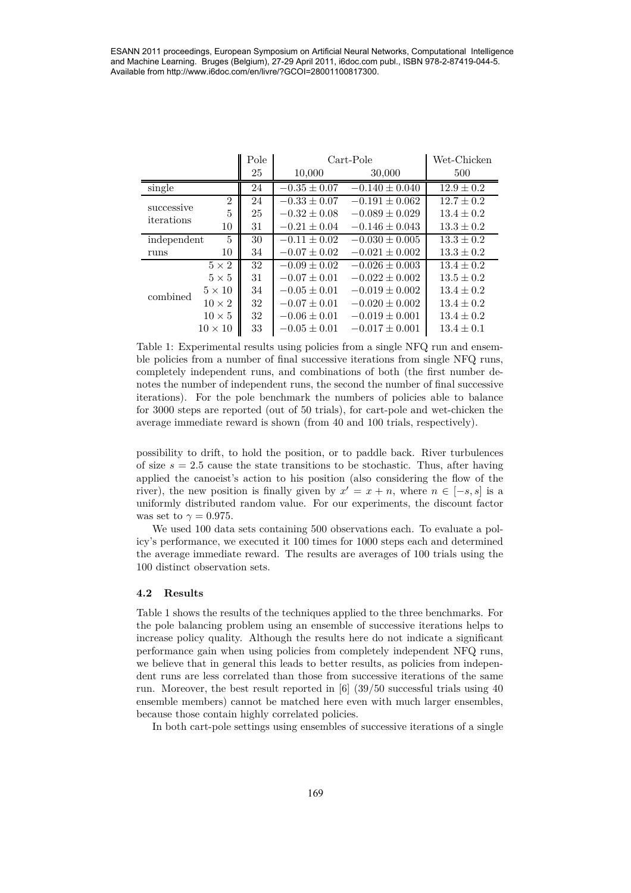|                                |                            |                  | Available from http://www.i6doc.com/en/livre/?GCOI=28001100817300. | ESANN 2011 proceedings, European Symposium on Artificial Neural Networks, Computational Intelligence<br>and Machine Learning. Bruges (Belgium), 27-29 April 2011, i6doc.com publ., ISBN 978-2-87419-044-5. |                                  |
|--------------------------------|----------------------------|------------------|--------------------------------------------------------------------|------------------------------------------------------------------------------------------------------------------------------------------------------------------------------------------------------------|----------------------------------|
|                                |                            |                  |                                                                    |                                                                                                                                                                                                            |                                  |
|                                |                            |                  |                                                                    |                                                                                                                                                                                                            |                                  |
|                                |                            |                  |                                                                    |                                                                                                                                                                                                            |                                  |
|                                |                            |                  |                                                                    |                                                                                                                                                                                                            |                                  |
|                                |                            |                  |                                                                    |                                                                                                                                                                                                            |                                  |
|                                |                            | Pole             |                                                                    | Cart-Pole                                                                                                                                                                                                  | Wet-Chicken                      |
|                                |                            | 25               | 10,000                                                             | 30,000                                                                                                                                                                                                     | 500                              |
| single                         |                            | 24               | $-0.35 \pm 0.07$                                                   | $-0.140 \pm 0.040$                                                                                                                                                                                         | $12.9 \pm 0.2$                   |
|                                | $\sqrt{2}$                 | 24               | $-0.33 \pm 0.07$                                                   | $-0.191 \pm 0.062$                                                                                                                                                                                         | $12.7 \pm 0.2$                   |
| successive<br>iterations       | $\overline{5}$             | 25               | $-0.32 \pm 0.08$                                                   | $-0.089 \pm 0.029$                                                                                                                                                                                         | $13.4 \pm 0.2$                   |
|                                | $10\,$                     | 31               | $-0.21\pm0.04$                                                     | $-0.146 \pm 0.043$                                                                                                                                                                                         | $13.3\pm0.2$                     |
| independent                    | 5                          | 30               | $-0.11 \pm 0.02$                                                   | $-0.030 \pm 0.005$                                                                                                                                                                                         | $13.3 \pm 0.2$                   |
| runs                           | 10                         | $34\,$           | $-0.07 \pm 0.02$                                                   | $-0.021 \pm 0.002$                                                                                                                                                                                         | $13.3 \pm 0.2$                   |
| combined                       | $5 \times 2$               | $\overline{32}$  | $-0.09 \pm 0.02$                                                   | $-0.026 \pm 0.003$                                                                                                                                                                                         | $13.4 \pm 0.2$                   |
|                                | $5\times5$                 | 31               | $-0.07 \pm 0.01$                                                   | $-0.022 \pm 0.002$                                                                                                                                                                                         | $13.5 \pm 0.2$                   |
|                                | $5\times10$                | $34\,$           | $-0.05 \pm 0.01$<br>$-0.07 \pm 0.01$                               | $-0.019 \pm 0.002$<br>$-0.020 \pm 0.002$                                                                                                                                                                   | $13.4 \pm 0.2$                   |
|                                | $10\times2$<br>$10\times5$ | $32\,$<br>$32\,$ | $-0.06 \pm 0.01$                                                   | $-0.019 \pm 0.001$                                                                                                                                                                                         | $13.4 \pm 0.2$<br>$13.4 \pm 0.2$ |
|                                | $10\times10$               | 33               | $-0.05 \pm 0.01$                                                   | $-0.017 \pm 0.001$                                                                                                                                                                                         | $13.4 \pm 0.1$                   |
|                                |                            |                  |                                                                    |                                                                                                                                                                                                            |                                  |
|                                |                            |                  |                                                                    | Table 1: Experimental results using policies from a single NFQ run and ensem-<br>ble policies from a number of final successive iterations from single NFQ runs,                                           |                                  |
|                                |                            |                  |                                                                    | completely independent runs, and combinations of both (the first number de-                                                                                                                                |                                  |
|                                |                            |                  |                                                                    | notes the number of independent runs, the second the number of final successive                                                                                                                            |                                  |
|                                |                            |                  |                                                                    | iterations). For the pole benchmark the numbers of policies able to balance                                                                                                                                |                                  |
|                                |                            |                  |                                                                    | for 3000 steps are reported (out of 50 trials), for cart-pole and wet-chicken the                                                                                                                          |                                  |
|                                |                            |                  |                                                                    | average immediate reward is shown (from 40 and 100 trials, respectively).                                                                                                                                  |                                  |
|                                |                            |                  |                                                                    |                                                                                                                                                                                                            |                                  |
|                                |                            |                  |                                                                    | possibility to drift, to hold the position, or to paddle back. River turbulences                                                                                                                           |                                  |
|                                |                            |                  |                                                                    | of size $s = 2.5$ cause the state transitions to be stochastic. Thus, after having                                                                                                                         |                                  |
|                                |                            |                  |                                                                    | applied the canoeist's action to his position (also considering the flow of the                                                                                                                            |                                  |
|                                |                            |                  |                                                                    | river), the new position is finally given by $x' = x + n$ , where $n \in [-s, s]$ is a                                                                                                                     |                                  |
|                                |                            |                  |                                                                    | uniformly distributed random value. For our experiments, the discount factor                                                                                                                               |                                  |
| was set to $\gamma = 0.975$ .  |                            |                  |                                                                    |                                                                                                                                                                                                            |                                  |
|                                |                            |                  |                                                                    | We used 100 data sets containing 500 observations each. To evaluate a pol-                                                                                                                                 |                                  |
|                                |                            |                  |                                                                    | icy's performance, we executed it 100 times for 1000 steps each and determined                                                                                                                             |                                  |
|                                |                            |                  |                                                                    | the average immediate reward. The results are averages of 100 trials using the                                                                                                                             |                                  |
| 100 distinct observation sets. |                            |                  |                                                                    |                                                                                                                                                                                                            |                                  |
| Results<br>4.2                 |                            |                  |                                                                    |                                                                                                                                                                                                            |                                  |
|                                |                            |                  |                                                                    | Table 1 shows the results of the techniques applied to the three benchmarks. For                                                                                                                           |                                  |
|                                |                            |                  |                                                                    | the pole balancing problem using an ensemble of successive iterations helps to                                                                                                                             |                                  |
|                                |                            |                  |                                                                    | increase policy quality. Although the results here do not indicate a significant                                                                                                                           |                                  |
|                                |                            |                  |                                                                    | performance gain when using policies from completely independent NFQ runs,                                                                                                                                 |                                  |
|                                |                            |                  |                                                                    | we believe that in general this leads to better results, as policies from indepen-                                                                                                                         |                                  |
|                                |                            |                  |                                                                    | dent runs are less correlated than those from successive iterations of the same                                                                                                                            |                                  |
|                                |                            |                  |                                                                    | run. Moreover, the best result reported in $\left[6\right]$ (39/50 successful trials using 40                                                                                                              |                                  |
|                                |                            |                  |                                                                    | ensemble members) cannot be matched here even with much larger ensembles,                                                                                                                                  |                                  |
|                                |                            |                  | because those contain highly correlated policies.                  |                                                                                                                                                                                                            |                                  |
|                                |                            |                  |                                                                    | In both cart-pole settings using ensembles of successive iterations of a single                                                                                                                            |                                  |
|                                |                            |                  |                                                                    |                                                                                                                                                                                                            |                                  |
|                                |                            |                  |                                                                    |                                                                                                                                                                                                            |                                  |
|                                |                            |                  |                                                                    |                                                                                                                                                                                                            |                                  |
|                                |                            |                  | 169                                                                |                                                                                                                                                                                                            |                                  |
|                                |                            |                  |                                                                    |                                                                                                                                                                                                            |                                  |

#### **4.2 Results**